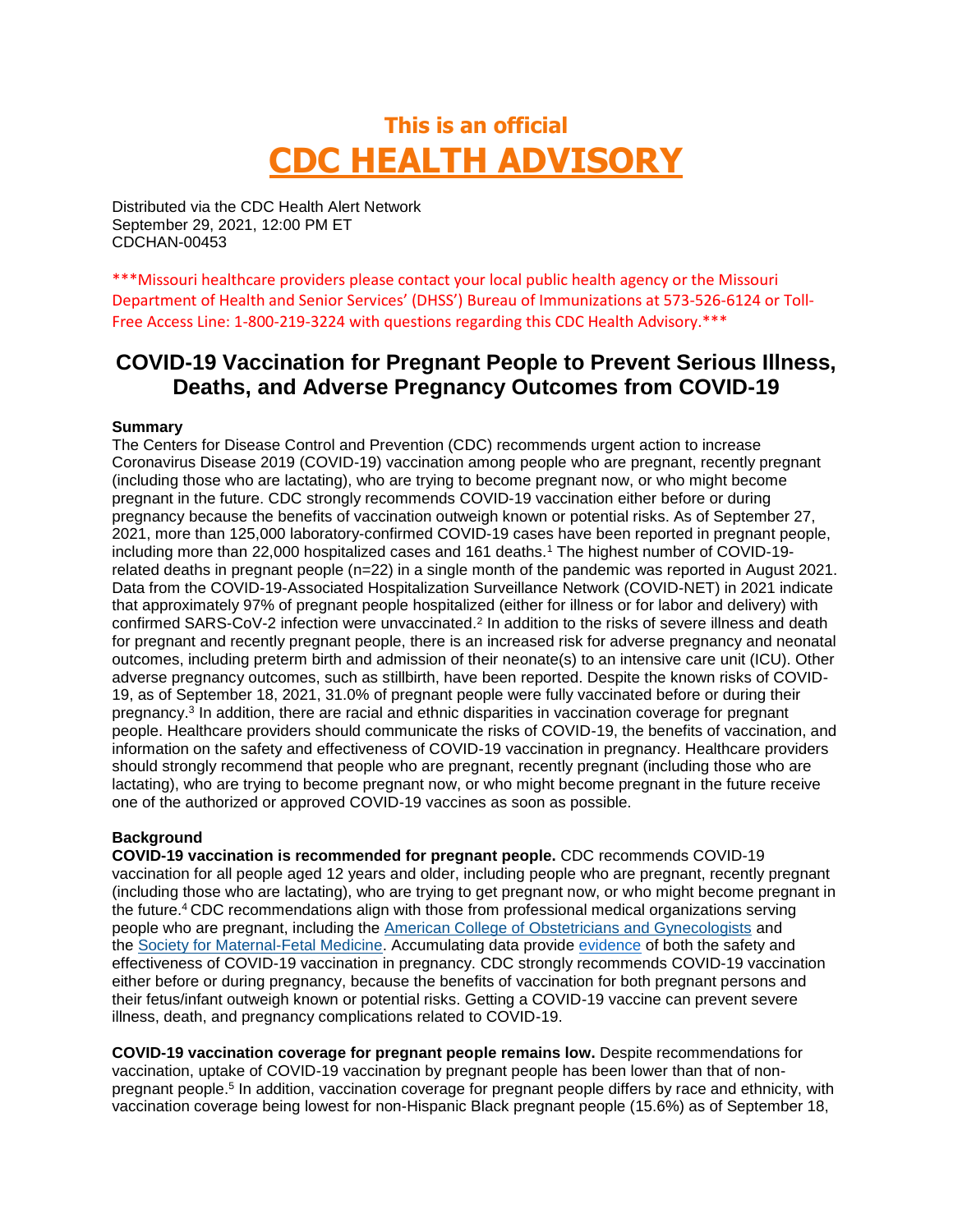# **This is an official CDC HEALTH ADVISORY**

Distributed via the CDC Health Alert Network September 29, 2021, 12:00 PM ET CDCHAN-00453

\*\*\*Missouri healthcare providers please contact your local public health agency or the Missouri Department of Health and Senior Services' (DHSS') Bureau of Immunizations at 573-526-6124 or Toll-Free Access Line: 1-800-219-3224 with questions regarding this CDC Health Advisory.\*\*\*

# **COVID-19 Vaccination for Pregnant People to Prevent Serious Illness, Deaths, and Adverse Pregnancy Outcomes from COVID-19**

#### **Summary**

The Centers for Disease Control and Prevention (CDC) recommends urgent action to increase Coronavirus Disease 2019 (COVID-19) vaccination among people who are pregnant, recently pregnant (including those who are lactating), who are trying to become pregnant now, or who might become pregnant in the future. CDC strongly recommends [COVID-19 vaccination either before or during](https://urldefense.com/v3/__https:/www.cdc.gov/vaccines/covid-19/clinical-considerations/covid-19-vaccines-us.html?CDC_AA_refVal=https*3A*2F*2Fwww.cdc.gov*2Fvaccines*2Fcovid-19*2Finfo-by-product*2Fclinical-considerations.html*pregnant__;JSUlJSUlJSM!!EErPFA7f--AJOw!S90qUY4W2NkGIT1MVrIjdZ8fwKKIxyymwFjVOSJb9kWkrHT_l8okkEdfiy1vcQ$)  [pregnancy](https://urldefense.com/v3/__https:/www.cdc.gov/vaccines/covid-19/clinical-considerations/covid-19-vaccines-us.html?CDC_AA_refVal=https*3A*2F*2Fwww.cdc.gov*2Fvaccines*2Fcovid-19*2Finfo-by-product*2Fclinical-considerations.html*pregnant__;JSUlJSUlJSM!!EErPFA7f--AJOw!S90qUY4W2NkGIT1MVrIjdZ8fwKKIxyymwFjVOSJb9kWkrHT_l8okkEdfiy1vcQ$) because the benefits of vaccination outweigh known or potential risks. As of September 27, 2021, more than 125,000 [laboratory-confirmed](https://urldefense.com/v3/__https:/covid.cdc.gov/covid-data-tracker/*pregnant-population__;Iw!!EErPFA7f--AJOw!S90qUY4W2NkGIT1MVrIjdZ8fwKKIxyymwFjVOSJb9kWkrHT_l8okkEd3ttLQEQ$) COVID-19 cases have been reported in pregnant people, including more than 22,000 hospitalized cases and 161 deaths.<sup>1</sup> The highest number of COVID-19related deaths in pregnant people (n=22) in a single month of the pandemic was reported in August 2021. Data from the COVID-19-Associated Hospitalization Surveillance Network (COVID-NET) in 2021 indicate that approximately 97% of pregnant people hospitalized (either for illness or for labor and delivery) with confirmed SARS-CoV-2 infection were unvaccinated.<sup>2</sup> In addition to the risks of severe illness and death for pregnant and recently pregnant people, there is an increased risk for adverse pregnancy and neonatal outcomes, including preterm birth and admission of their neonate(s) to an intensive care unit (ICU). Other adverse pregnancy outcomes, such as stillbirth, have been reported. Despite the known risks of COVID-19, as of September 18, 2021, 31.0% of pregnant people were fully vaccinated before or during their pregnancy.<sup>3</sup> In addition, there are racial and ethnic disparities in vaccination coverage for pregnant people. Healthcare providers should communicate the risks of COVID-19, the benefits of vaccination, and information on the safety and effectiveness of COVID-19 vaccination in pregnancy. Healthcare providers should strongly recommend that people who are pregnant, recently pregnant (including those who are lactating), who are trying to become pregnant now, or who might become pregnant in the future receive one of the authorized or approved COVID-19 vaccines as soon as possible.

#### **Background**

**COVID-19 vaccination is recommended for pregnant people.** CDC recommends COVID-19 vaccination for all people aged 12 years and older, including people who are pregnant, recently pregnant (including those who are lactating), who are trying to get pregnant now, or who might become pregnant in the future.<sup>4</sup>CDC recommendations align with those from professional medical organizations serving people who are pregnant, including the [American College of Obstetricians and Gynecologists](https://urldefense.com/v3/__https:/www.acog.org/clinical/clinical-guidance/practice-advisory/articles/2020/12/covid-19-vaccination-considerations-for-obstetric-gynecologic-care__;!!EErPFA7f--AJOw!S90qUY4W2NkGIT1MVrIjdZ8fwKKIxyymwFjVOSJb9kWkrHT_l8okkEfeCMmKow$) and the [Society for Maternal-Fetal Medicine.](https://urldefense.com/v3/__https:/s3.amazonaws.com/cdn.smfm.org/media/3040/COVID_vaccine__Patients_JULY_29_2021_final.pdf__;!!EErPFA7f--AJOw!S90qUY4W2NkGIT1MVrIjdZ8fwKKIxyymwFjVOSJb9kWkrHT_l8okkEdGngaagQ$) Accumulating data provide [evidence](https://urldefense.com/v3/__https:/www.cdc.gov/coronavirus/2019-ncov/vaccines/recommendations/pregnancy.html__;!!EErPFA7f--AJOw!S90qUY4W2NkGIT1MVrIjdZ8fwKKIxyymwFjVOSJb9kWkrHT_l8okkEcFHNxGlw$) of both the safety and effectiveness of COVID-19 vaccination in pregnancy. CDC strongly recommends [COVID-19 vaccination](https://urldefense.com/v3/__https:/www.cdc.gov/vaccines/covid-19/clinical-considerations/covid-19-vaccines-us.html?CDC_AA_refVal=https*3A*2F*2Fwww.cdc.gov*2Fvaccines*2Fcovid-19*2Finfo-by-product*2Fclinical-considerations.html*pregnant__;JSUlJSUlJSM!!EErPFA7f--AJOw!S90qUY4W2NkGIT1MVrIjdZ8fwKKIxyymwFjVOSJb9kWkrHT_l8okkEdfiy1vcQ$)  [either before or during pregnancy,](https://urldefense.com/v3/__https:/www.cdc.gov/vaccines/covid-19/clinical-considerations/covid-19-vaccines-us.html?CDC_AA_refVal=https*3A*2F*2Fwww.cdc.gov*2Fvaccines*2Fcovid-19*2Finfo-by-product*2Fclinical-considerations.html*pregnant__;JSUlJSUlJSM!!EErPFA7f--AJOw!S90qUY4W2NkGIT1MVrIjdZ8fwKKIxyymwFjVOSJb9kWkrHT_l8okkEdfiy1vcQ$) because the benefits of vaccination for both pregnant persons and their fetus/infant outweigh known or potential risks. Getting a COVID-19 vaccine can prevent severe illness, death, and pregnancy complications related to COVID-19.

**COVID-19 vaccination coverage for pregnant people remains low.** Despite recommendations for vaccination, uptake of COVID-19 vaccination by pregnant people has been lower than that of nonpregnant people.<sup>5</sup> In addition, vaccination coverage for pregnant people differs by race and ethnicity, with vaccination coverage being lowest for non-Hispanic Black pregnant people (15.6%) as of September 18,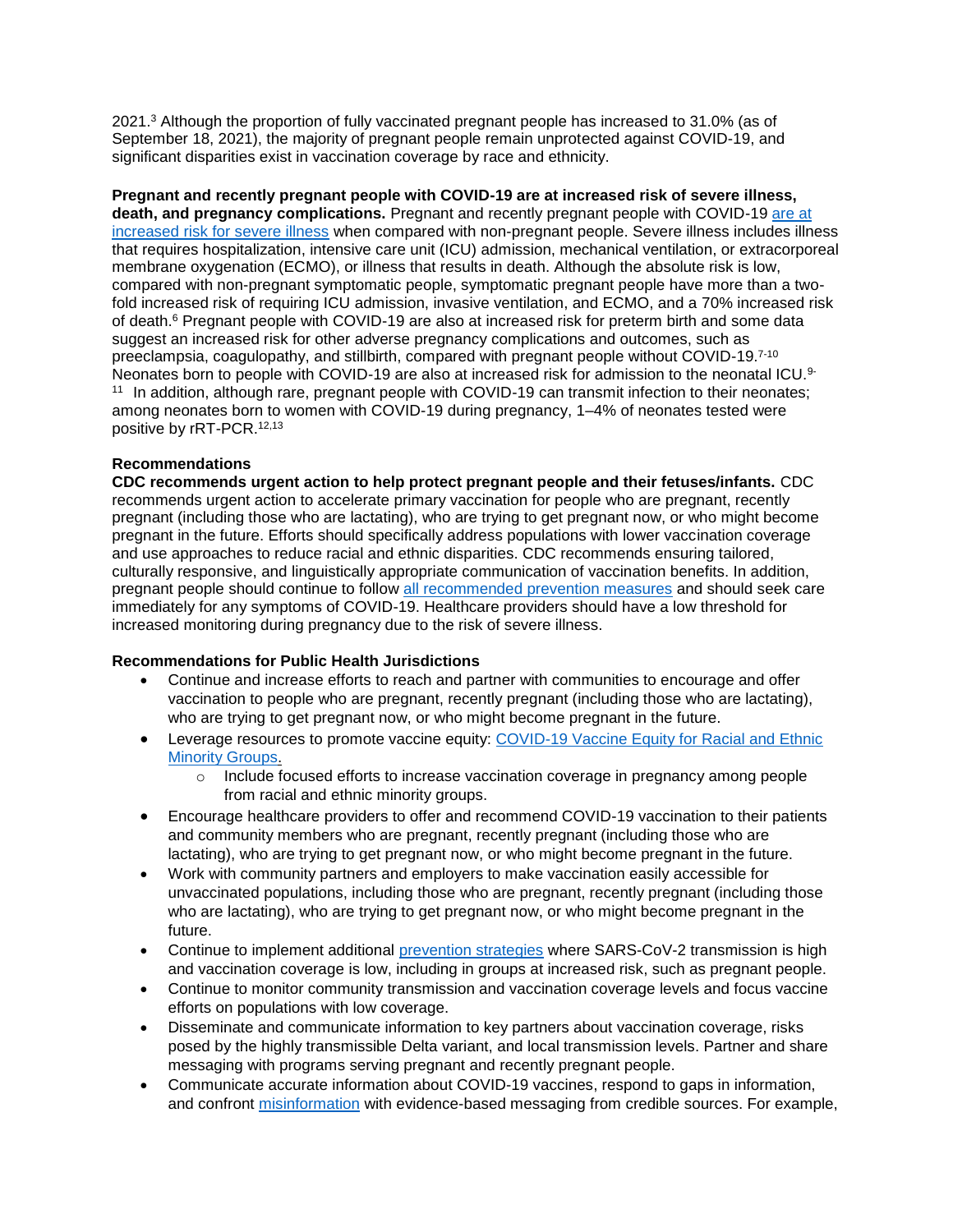2021.<sup>3</sup> Although the proportion of fully vaccinated pregnant people has increased to 31.0% (as of September 18, 2021), the majority of pregnant people remain unprotected against COVID-19, and significant disparities exist in vaccination coverage by race and ethnicity.

**Pregnant and recently pregnant people with COVID-19 are at increased risk of severe illness, death, and pregnancy complications.** Pregnant and recently pregnant people with COVID-19 [are at](https://urldefense.com/v3/__https:/www.cdc.gov/coronavirus/2019-ncov/need-extra-precautions/pregnant-people.html__;!!EErPFA7f--AJOw!S90qUY4W2NkGIT1MVrIjdZ8fwKKIxyymwFjVOSJb9kWkrHT_l8okkEdgClOccA$)  [increased risk for severe illness](https://urldefense.com/v3/__https:/www.cdc.gov/coronavirus/2019-ncov/need-extra-precautions/pregnant-people.html__;!!EErPFA7f--AJOw!S90qUY4W2NkGIT1MVrIjdZ8fwKKIxyymwFjVOSJb9kWkrHT_l8okkEdgClOccA$) when compared with non-pregnant people. Severe illness includes illness that requires hospitalization, intensive care unit (ICU) admission, mechanical ventilation, or extracorporeal membrane oxygenation (ECMO), or illness that results in death. Although the absolute risk is low, compared with non-pregnant symptomatic people, symptomatic pregnant people have more than a twofold increased risk of requiring ICU admission, invasive ventilation, and ECMO, and a 70% increased risk of death.<sup>6</sup> Pregnant people with COVID-19 are also at increased risk for preterm birth and some data suggest an increased risk for other adverse pregnancy complications and outcomes, such as preeclampsia, coagulopathy, and stillbirth, compared with pregnant people without COVID-19.7-10 Neonates born to people with COVID-19 are also at increased risk for admission to the neonatal ICU.<sup>9-</sup> <sup>11</sup> In addition, although rare, pregnant people with COVID-19 can transmit infection to their neonates; among neonates born to women with COVID-19 during pregnancy, 1–4% of neonates tested were positive by rRT-PCR.12,13

### **Recommendations**

**CDC recommends urgent action to help protect pregnant people and their fetuses/infants.** CDC recommends urgent action to accelerate primary vaccination for people who are pregnant, recently pregnant (including those who are lactating), who are trying to get pregnant now, or who might become pregnant in the future. Efforts should specifically address populations with lower vaccination coverage and use approaches to reduce racial and ethnic disparities. CDC recommends ensuring tailored, culturally responsive, and linguistically appropriate communication of vaccination benefits. In addition, pregnant people should continue to follow [all recommended prevention measures](https://urldefense.com/v3/__https:/www.cdc.gov/coronavirus/2019-ncov/prevent-getting-sick/prevention.html__;!!EErPFA7f--AJOw!S90qUY4W2NkGIT1MVrIjdZ8fwKKIxyymwFjVOSJb9kWkrHT_l8okkEdyPROfLw$) and should seek care immediately for any symptoms of COVID-19. Healthcare providers should have a low threshold for increased monitoring during pregnancy due to the risk of severe illness.

#### **Recommendations for Public Health Jurisdictions**

- Continue and increase efforts to reach and partner with communities to encourage and offer vaccination to people who are pregnant, recently pregnant (including those who are lactating), who are trying to get pregnant now, or who might become pregnant in the future.
- Leverage resources to promote vaccine equity: COVID-19 Vaccine Equity for Racial and Ethnic [Minority Groups.](https://urldefense.com/v3/__https:/www.cdc.gov/coronavirus/2019-ncov/community/health-equity/vaccine-equity.html__;!!EErPFA7f--AJOw!S90qUY4W2NkGIT1MVrIjdZ8fwKKIxyymwFjVOSJb9kWkrHT_l8okkEfIQd8KwQ$)
	- $\circ$  Include focused efforts to increase vaccination coverage in pregnancy among people from racial and ethnic minority groups.
- Encourage healthcare providers to offer and recommend COVID-19 vaccination to their patients and community members who are pregnant, recently pregnant (including those who are lactating), who are trying to get pregnant now, or who might become pregnant in the future.
- Work with community partners and employers to make vaccination easily accessible for unvaccinated populations, including those who are pregnant, recently pregnant (including those who are lactating), who are trying to get pregnant now, or who might become pregnant in the future.
- Continue to implement additional [prevention strategies](https://urldefense.com/v3/__https:/www.cdc.gov/mmwr/volumes/70/wr/mm7030e2.htm?s_cid=mm7030e2_w__;!!EErPFA7f--AJOw!S90qUY4W2NkGIT1MVrIjdZ8fwKKIxyymwFjVOSJb9kWkrHT_l8okkEddRmucdg$) where SARS-CoV-2 transmission is high and vaccination coverage is low, including in groups at increased risk, such as pregnant people.
- Continue to monitor community transmission and vaccination coverage levels and focus vaccine efforts on populations with low coverage.
- Disseminate and communicate information to key partners about vaccination coverage, risks posed by the highly transmissible Delta variant, and local transmission levels. Partner and share messaging with programs serving pregnant and recently pregnant people.
- Communicate accurate information about COVID-19 vaccines, respond to gaps in information, and confront [misinformation](https://urldefense.com/v3/__https:/www.cdc.gov/vaccines/covid-19/health-departments/addressing-vaccine-misinformation.html__;!!EErPFA7f--AJOw!S90qUY4W2NkGIT1MVrIjdZ8fwKKIxyymwFjVOSJb9kWkrHT_l8okkEd93otoVA$) with evidence-based messaging from credible sources. For example,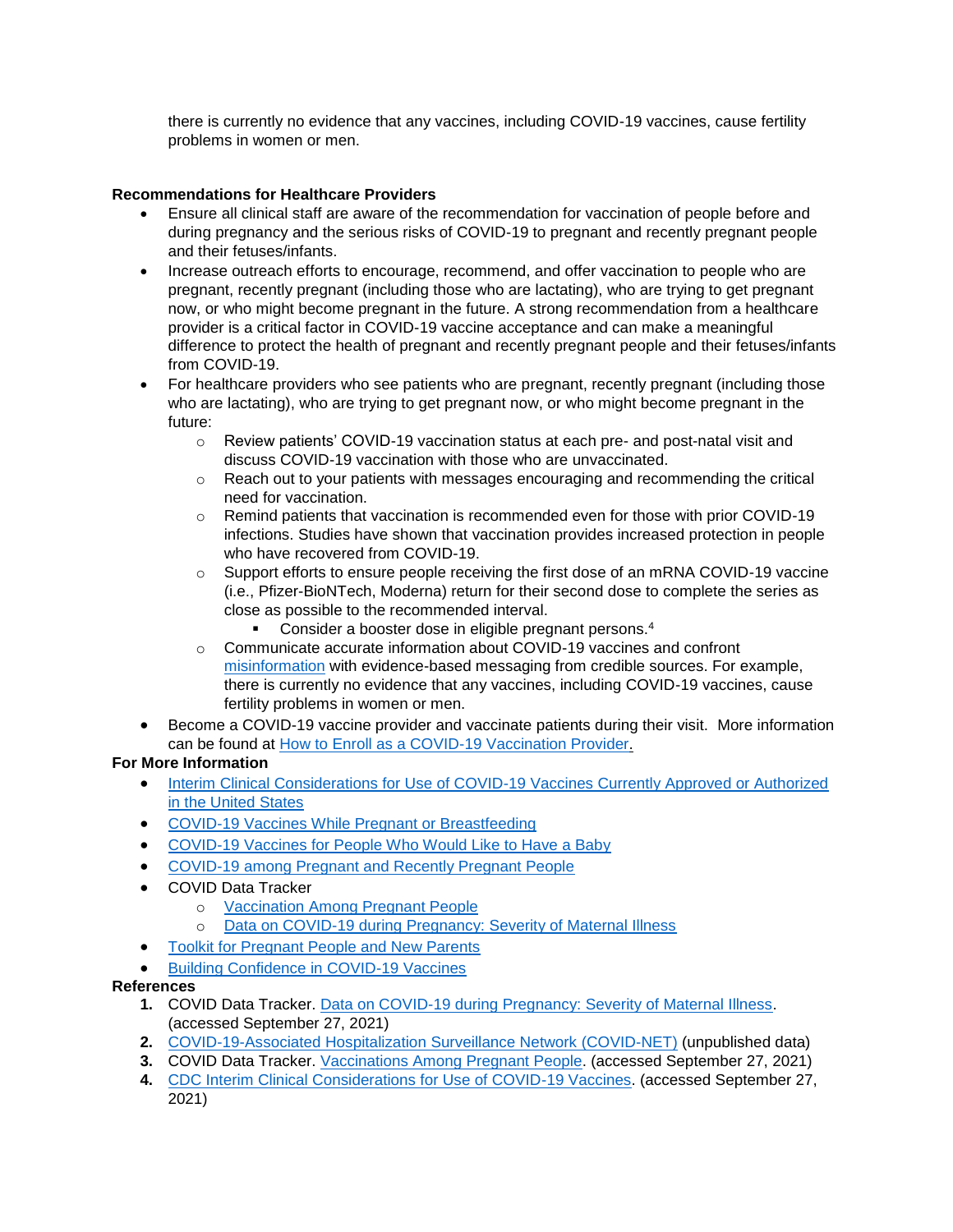there is currently no evidence that any vaccines, including COVID-19 vaccines, cause fertility problems in women or men.

## **Recommendations for Healthcare Providers**

- Ensure all clinical staff are aware of the recommendation for vaccination of people before and during pregnancy and the serious risks of COVID-19 to pregnant and recently pregnant people and their fetuses/infants.
- Increase outreach efforts to encourage, recommend, and offer vaccination to people who are pregnant, recently pregnant (including those who are lactating), who are trying to get pregnant now, or who might become pregnant in the future. A strong recommendation from a healthcare provider is a critical factor in COVID-19 vaccine acceptance and can make a meaningful difference to protect the health of pregnant and recently pregnant people and their fetuses/infants from COVID-19.
- For healthcare providers who see patients who are pregnant, recently pregnant (including those who are lactating), who are trying to get pregnant now, or who might become pregnant in the future:
	- $\circ$  Review patients' COVID-19 vaccination status at each pre- and post-natal visit and discuss COVID-19 vaccination with those who are unvaccinated.
	- o Reach out to your patients with messages encouraging and recommending the critical need for vaccination.
	- $\circ$  Remind patients that vaccination is recommended even for those with prior COVID-19 infections. Studies have shown that vaccination provides increased protection in people who have recovered from COVID-19.
	- $\circ$  Support efforts to ensure people receiving the first dose of an mRNA COVID-19 vaccine (i.e., Pfizer-BioNTech, Moderna) return for their second dose to complete the series as close as possible to the recommended interval.
		- **Consider a booster dose in eligible pregnant persons.**<sup>4</sup>
	- $\circ$  Communicate accurate information about COVID-19 vaccines and confront [misinformation](https://urldefense.com/v3/__https:/www.cdc.gov/vaccines/covid-19/health-departments/addressing-vaccine-misinformation.html__;!!EErPFA7f--AJOw!S90qUY4W2NkGIT1MVrIjdZ8fwKKIxyymwFjVOSJb9kWkrHT_l8okkEd93otoVA$) with evidence-based messaging from credible sources. For example, there is currently no evidence that any vaccines, including COVID-19 vaccines, cause fertility problems in women or men.
- Become a COVID-19 vaccine provider and vaccinate patients during their visit. More information can be found at [How to Enroll as a COVID-19 Vaccination Provider.](https://urldefense.com/v3/__https:/www.cdc.gov/vaccines/covid-19/provider-enrollment.html__;!!EErPFA7f--AJOw!S90qUY4W2NkGIT1MVrIjdZ8fwKKIxyymwFjVOSJb9kWkrHT_l8okkEez0kHKhQ$)

# **For More Information**

- Interim Clinical Considerations for Use of COVID-19 Vaccines Currently Approved or Authorized [in the United States](https://urldefense.com/v3/__https:/www.cdc.gov/vaccines/covid-19/clinical-considerations/covid-19-vaccines-us.html?CDC_AA_refVal=https*3A*2F*2Fwww.cdc.gov*2Fvaccines*2Fcovid-19*2Finfo-by-product*2Fclinical-considerations.html*pregnant__;JSUlJSUlJSM!!EErPFA7f--AJOw!S90qUY4W2NkGIT1MVrIjdZ8fwKKIxyymwFjVOSJb9kWkrHT_l8okkEdfiy1vcQ$)
- [COVID-19 Vaccines While Pregnant or Breastfeeding](https://urldefense.com/v3/__https:/www.cdc.gov/coronavirus/2019-ncov/vaccines/recommendations/pregnancy.html__;!!EErPFA7f--AJOw!S90qUY4W2NkGIT1MVrIjdZ8fwKKIxyymwFjVOSJb9kWkrHT_l8okkEcFHNxGlw$)
- [COVID-19 Vaccines for People Who Would Like to Have a Baby](https://urldefense.com/v3/__https:/www.cdc.gov/coronavirus/2019-ncov/vaccines/planning-for-pregnancy.html__;!!EErPFA7f--AJOw!S90qUY4W2NkGIT1MVrIjdZ8fwKKIxyymwFjVOSJb9kWkrHT_l8okkEceVwTTSg$)
- [COVID-19 among Pregnant and Recently Pregnant People](https://urldefense.com/v3/__https:/www.cdc.gov/coronavirus/2019-ncov/need-extra-precautions/pregnant-people.html__;!!EErPFA7f--AJOw!S90qUY4W2NkGIT1MVrIjdZ8fwKKIxyymwFjVOSJb9kWkrHT_l8okkEdgClOccA$)
- COVID Data Tracker
	- o [Vaccination Among Pregnant People](https://urldefense.com/v3/__https:/covid.cdc.gov/covid-data-tracker/*vaccinations-pregnant-women__;Iw!!EErPFA7f--AJOw!S90qUY4W2NkGIT1MVrIjdZ8fwKKIxyymwFjVOSJb9kWkrHT_l8okkEfIw3bJuQ$)
	- o [Data on COVID-19 during Pregnancy: Severity of Maternal Illness](https://urldefense.com/v3/__https:/covid.cdc.gov/covid-data-tracker/*pregnant-population__;Iw!!EErPFA7f--AJOw!S90qUY4W2NkGIT1MVrIjdZ8fwKKIxyymwFjVOSJb9kWkrHT_l8okkEd3ttLQEQ$)
- [Toolkit for Pregnant People and New Parents](https://urldefense.com/v3/__https:/www.cdc.gov/coronavirus/2019-ncov/communication/toolkits/pregnant-people-and-new-parents.html__;!!EErPFA7f--AJOw!S90qUY4W2NkGIT1MVrIjdZ8fwKKIxyymwFjVOSJb9kWkrHT_l8okkEdta0gwPw$)
- **•** [Building Confidence in COVID-19 Vaccines](https://urldefense.com/v3/__https:/www.cdc.gov/vaccines/covid-19/vaccinate-with-confidence.html__;!!EErPFA7f--AJOw!S90qUY4W2NkGIT1MVrIjdZ8fwKKIxyymwFjVOSJb9kWkrHT_l8okkEf9JIVQcQ$)

### **References**

- **1.** COVID Data Tracker. [Data on COVID-19 during Pregnancy: Severity of Maternal Illness.](https://urldefense.com/v3/__https:/covid.cdc.gov/covid-data-tracker/*pregnant-population__;Iw!!EErPFA7f--AJOw!S90qUY4W2NkGIT1MVrIjdZ8fwKKIxyymwFjVOSJb9kWkrHT_l8okkEd3ttLQEQ$) (accessed September 27, 2021)
- **2.** [COVID-19-Associated Hospitalization Surveillance Network \(COVID-NET\)](https://urldefense.com/v3/__https:/www.cdc.gov/coronavirus/2019-ncov/covid-data/covid-net/purpose-methods.html__;!!EErPFA7f--AJOw!S90qUY4W2NkGIT1MVrIjdZ8fwKKIxyymwFjVOSJb9kWkrHT_l8okkEcrTpx4Ew$) (unpublished data)
- **3.** COVID Data Tracker. [Vaccinations Among Pregnant People.](https://urldefense.com/v3/__https:/covid.cdc.gov/covid-data-tracker/*vaccinations-pregnant-women__;Iw!!EErPFA7f--AJOw!S90qUY4W2NkGIT1MVrIjdZ8fwKKIxyymwFjVOSJb9kWkrHT_l8okkEfIw3bJuQ$) (accessed September 27, 2021)
- **4.** [CDC Interim Clinical Considerations for Use of COVID-19 Vaccines.](https://urldefense.com/v3/__https:/www.cdc.gov/vaccines/covid-19/clinical-considerations/covid-19-vaccines-us.html?CDC_AA_refVal=https*3A*2F*2Fwww.cdc.gov*2Fvaccines*2Fcovid-19*2Finfo-by-product*2Fclinical-considerations.html*pregnant__;JSUlJSUlJSM!!EErPFA7f--AJOw!S90qUY4W2NkGIT1MVrIjdZ8fwKKIxyymwFjVOSJb9kWkrHT_l8okkEdfiy1vcQ$) (accessed September 27, 2021)